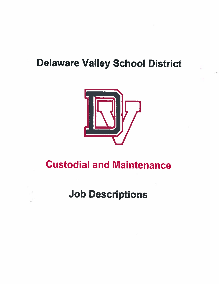# **Delaware Valley School District**



# **Custodial and Maintenance**

# **Job Descriptions**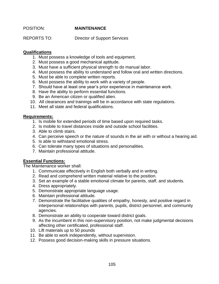# POSITION: **MAINTENANCE**

REPORTS TO: Director of Support Services

#### **Qualifications**

- 1. Must possess a knowledge of tools and equipment.
- 2. Must possess a good mechanical aptitude.
- 3. Must have a sufficient physical strength to do manual labor.
- 4. Must possess the ability to understand and follow oral and written directions.
- 5. Must be able to complete written reports.
- 6. Must possess the ability to work with a variety of people.
- 7. Should have at least one year's prior experience in maintenance work.
- 8. Have the ability to perform essential functions.
- 9. Be an American citizen or qualified alien.
- 10. All clearances and trainings will be in accordance with state regulations.
- 11. Meet all state and federal qualifications.

#### **Requirements:**

- 1. Is mobile for extended periods of time based upon required tasks.
- 2. Is mobile to travel distances inside and outside school facilities.
- 3. Able to climb stairs.
- 4. Can perceive speech or the nature of sounds in the air with or without a hearing aid.
- 5. Is able to withstand emotional stress.
- 6. Can tolerate many types of situations and personalities.
- 7. Maintain professional attitude.

# **Essential Functions:**

The Maintenance worker shall:

- 1. Communicate effectively in English both verbally and in writing.
- 2. Read and comprehend written material relative to the position.
- 3. Set an example of a stable emotional climate for parents, staff, and students.
- 4. Dress appropriately.
- 5. Demonstrate appropriate language usage.
- 6. Maintain professional attitude.
- 7. Demonstrate the facilitative qualities of empathy, honesty, and positive regard in interpersonal relationships with parents, pupils, district personnel, and community agencies.
- 8. Demonstrate an ability to cooperate toward district goals.
- 9. As the incumbent in this non-supervisory position, not make judgmental decisions affecting other certificated, professional staff.
- 10. Lift materials up to 50 pounds
- 11. Be able to work independently, without supervision.
- 12. Possess good decision-making skills in pressure situations.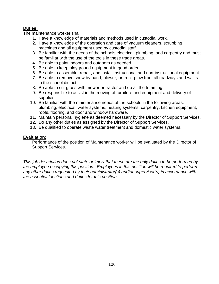# **Duties:**

The maintenance worker shall:

- 1. Have a knowledge of materials and methods used in custodial work.
- 2. Have a knowledge of the operation and care of vacuum cleaners, scrubbing machines and all equipment used by custodial staff.
- 3. Be familiar with the needs of the schools electrical, plumbing, and carpentry and must be familiar with the use of the tools in these trade areas.
- 4. Be able to paint indoors and outdoors as needed.
- 5. Be able to keep playground equipment in good order.
- 6. Be able to assemble, repair, and install instructional and non-instructional equipment.
- 7. Be able to remove snow by hand, blower, or truck plow from all roadways and walks in the school district.
- 8. Be able to cut grass with mower or tractor and do all the trimming.
- 9. Be responsible to assist in the moving of furniture and equipment and delivery of supplies.
- 10. Be familiar with the maintenance needs of the schools in the following areas: plumbing, electrical, water systems, heating systems, carpentry, kitchen equipment, roofs, flooring, and door and window hardware.
- 11. Maintain personal hygiene as deemed necessary by the Director of Support Services.
- 12. Do any other duties as assigned by the Director of Support Services.
- 13. Be qualified to operate waste water treatment and domestic water systems.

# **Evaluation:**

Performance of the position of Maintenance worker will be evaluated by the Director of Support Services.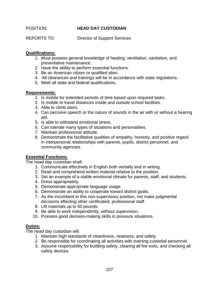# POSITION: **HEAD DAY CUSTODIAN**

REPORTS TO: Director of Support Services

# **Qualifications:**

- 1. Must possess general knowledge of heating, ventilation, sanitation, and preventative maintenance.
- 2. Have the ability to perform essential functions.
- 3. Be an American citizen or qualified alien.
- 4. All clearances and trainings will be in accordance with state regulations.
- 5. Meet all state and federal qualifications.

## **Requirements:**

- 1. Is mobile for extended periods of time based upon required tasks.
- 2. Is mobile to travel distances inside and outside school facilities.
- 3. Able to climb stairs.
- 4. Can perceive speech or the nature of sounds in the air with or without a hearing aid.
- 5. Is able to withstand emotional stress.
- 6. Can tolerate many types of situations and personalities.
- 7. Maintain professional attitude.
- 8. Demonstrate the facilitative qualities of empathy, honesty, and positive regard in interpersonal relationships with parents, pupils, district personnel, and community agencies.

# **Essential Functions:**

The head day custodian shall:

- 1. Communicate effectively in English both verbally and in writing.
- 2. Read and comprehend written material relative to the position.
- 3. Set an example of a stable emotional climate for parents, staff, and students.
- 4. Dress appropriately.
- 5. Demonstrate appropriate language usage.
- 6. Demonstrate an ability to cooperate toward district goals.
- 7. As the incumbent in this non-supervisory position, not make judgmental decisions affecting other certificated, professional staff.
- 8. Lift materials up to 50 pounds.
- 9. Be able to work independently, without supervision.
- 10. Possess good decision-making skills in pressure situations.

# **Duties:**

The head day custodian will:

- 1. Maintain high standards of cleanliness, neatness, and safety.
- 2. Be responsible for coordinating all activities with evening custodial personnel.
- 3. Assume responsibility for building safety, clearing all fire exits, and checking all safety devices.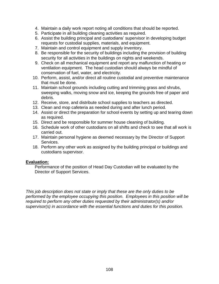- 4. Maintain a daily work report noting all conditions that should be reported.
- 5. Participate in all building cleaning activities as required.
- 6. Assist the building principal and custodians' supervisor in developing budget requests for custodial supplies, materials, and equipment.
- 7. Maintain and control equipment and supply inventory.
- 8. Be responsible for the security of buildings including the provision of building security for all activities in the buildings on nights and weekends.
- 9. Check on all mechanical equipment and report any malfunction of heating or ventilation equipment. The head custodian should always be mindful of conservation of fuel, water, and electricity.
- 10. Perform, assist, and/or direct all routine custodial and preventive maintenance that must be done.
- 11. Maintain school grounds including cutting and trimming grass and shrubs, sweeping walks, moving snow and ice, keeping the grounds free of paper and debris.
- 12. Receive, store, and distribute school supplies to teachers as directed.
- 13. Clean and mop cafeteria as needed during and after lunch period.
- 14. Assist or direct the preparation for school events by setting up and tearing down as required.
- 15. Direct and be responsible for summer house cleaning of building.
- 16. Schedule work of other custodians on all shifts and check to see that all work is carried out.
- 17. Maintain personal hygiene as deemed necessary by the Director of Support Services.
- 18. Perform any other work as assigned by the building principal or buildings and custodians supervisor.

Performance of the position of Head Day Custodian will be evaluated by the Director of Support Services.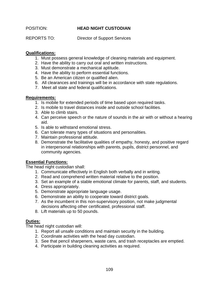# POSITION: **HEAD NIGHT CUSTODIAN**

REPORTS TO: Director of Support Services

# **Qualifications:**

- 1. Must possess general knowledge of cleaning materials and equipment.
- 2. Have the ability to carry out oral and written instructions.
- 3. Must demonstrate a mechanical aptitude.
- 4. Have the ability to perform essential functions.
- 5. Be an American citizen or qualified alien.
- 6. All clearances and trainings will be in accordance with state regulations.
- 7. Meet all state and federal qualifications.

# **Requirements:**

- 1. Is mobile for extended periods of time based upon required tasks.
- 2. Is mobile to travel distances inside and outside school facilities.
- 3. Able to climb stairs.
- 4. Can perceive speech or the nature of sounds in the air with or without a hearing aid.
- 5. Is able to withstand emotional stress.
- 6. Can tolerate many types of situations and personalities.
- 7. Maintain professional attitude.
- 8. Demonstrate the facilitative qualities of empathy, honesty, and positive regard in interpersonal relationships with parents, pupils, district personnel, and community agencies.

# **Essential Functions:**

The head night custodian shall:

- 1. Communicate effectively in English both verbally and in writing.
- 2. Read and comprehend written material relative to the position.
- 3. Set an example of a stable emotional climate for parents, staff, and students.
- 4. Dress appropriately.
- 5. Demonstrate appropriate language usage.
- 6. Demonstrate an ability to cooperate toward district goals.
- 7. As the incumbent in this non-supervisory position, not make judgmental decisions affecting other certificated, professional staff.
- 8. Lift materials up to 50 pounds.

# **Duties:**

The head night custodian will:

- 1. Report all unsafe conditions and maintain security in the building.
- 2. Coordinate activities with the head day custodian.
- 3. See that pencil sharpeners, waste cans, and trash receptacles are emptied.
- 4. Participate in building cleaning activities as required.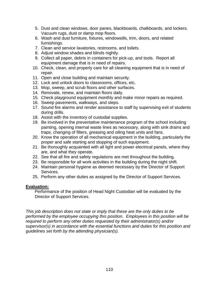- 5. Dust and clean windows, door panes, blackboards, chalkboards, and lockers. Vacuum rugs, dust or damp mop floors.
- 6. Wash and dust furniture, fixtures, windowsills, trim, doors, and related furnishings.
- 7. Clean and service lavatories, restrooms, and toilets.
- 8. Adjust window shades and blinds nightly.
- 9. Collect all paper, debris in containers for pick-up, and tools. Report all equipment damage that is in need of repairs.
- 10. Check, clean, and properly care for all cleaning equipment that is in need of repair.
- 11. Open and close building and maintain security.
- 12. Lock and unlock doors to classrooms, offices, etc.
- 13. Mop, sweep, and scrub floors and other surfaces.
- 14. Renovate, renew, and maintain floors daily.
- 15. Check playground equipment monthly and make minor repairs as required.
- 16. Sweep pavements, walkways, and steps.
- 17. Sound fire alarms and render assistance to staff by supervising exit of students during drills.
- 18. Assist with the inventory of custodial supplies.
- 19. Be involved in the preventative maintenance program of the school including painting, opening internal waste lines as necessary, along with sink drains and traps, changing of filters, greasing and oiling heat units and fans.
- 20. Know the operation of all mechanical equipment in the building, particularly the proper and safe starting and stopping of such equipment.
- 21. Be thoroughly acquainted with all light and power electrical panels, where they are, and what they operate.
- 22. See that all fire and safety regulations are met throughout the building.
- 23. Be responsible for all work activities in the building during the night shift.
- 24. Maintain personal hygiene as deemed necessary by the Director of Support Services.
- 25. Perform any other duties as assigned by the Director of Support Services.

Performance of the position of Head Night Custodian will be evaluated by the Director of Support Services.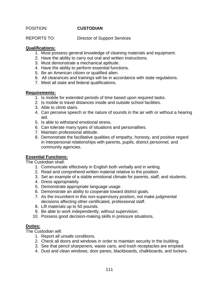POSITION: **CUSTODIAN**

REPORTS TO: Director of Support Services

## **Qualifications:**

- 1. Must possess general knowledge of cleaning materials and equipment.
- 2. Have the ability to carry out oral and written instructions.
- 3. Must demonstrate a mechanical aptitude.
- 4. Have the ability to perform essential functions.
- 5. Be an American citizen or qualified alien.
- 6. All clearances and trainings will be in accordance with state regulations.
- 7. Meet all state and federal qualifications.

## **Requirements:**

- 1. Is mobile for extended periods of time based upon required tasks.
- 2. Is mobile to travel distances inside and outside school facilities.
- 3. Able to climb stairs.
- 4. Can perceive speech or the nature of sounds in the air with or without a hearing aid.
- 5. Is able to withstand emotional stress.
- 6. Can tolerate many types of situations and personalities.
- 7. Maintain professional attitude.
- 8. Demonstrate the facilitative qualities of empathy, honesty, and positive regard in interpersonal relationships with parents, pupils, district personnel, and community agencies.

# **Essential Functions:**

The Custodian shall:

- 1. Communicate effectively in English both verbally and in writing.
- 2. Read and comprehend written material relative to the position.
- 3. Set an example of a stable emotional climate for parents, staff, and students.
- 4. Dress appropriately.
- 5. Demonstrate appropriate language usage.
- 6. Demonstrate an ability to cooperate toward district goals.
- 7. As the incumbent in this non-supervisory position, not make judgmental decisions affecting other certificated, professional staff.
- 8. Lift materials up to 50 pounds.
- 9. Be able to work independently, without supervision.
- 10. Possess good decision-making skills in pressure situations.

# **Duties:**

The Custodian will:

- 1. Report all unsafe conditions.
- 2. Check all doors and windows in order to maintain security in the building.
- 3. See that pencil sharpeners, waste cans, and trash receptacles are emptied.
- 4. Dust and clean windows, door panes, blackboards, chalkboards, and lockers.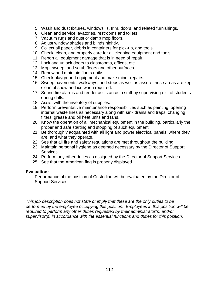- 5. Wash and dust fixtures, windowsills, trim, doors, and related furnishings.
- 6. Clean and service lavatories, restrooms and toilets.
- 7. Vacuum rugs and dust or damp mop floors.
- 8. Adjust window shades and blinds nightly.
- 9. Collect all paper, debris in containers for pick-up, and tools.
- 10. Check, clean, and properly care for all cleaning equipment and tools.
- 11. Report all equipment damage that is in need of repair.
- 12. Lock and unlock doors to classrooms, offices, etc.
- 13. Mop, sweep, and scrub floors and other surfaces.
- 14. Renew and maintain floors daily.
- 15. Check playground equipment and make minor repairs.
- 16. Sweep pavements, walkways, and steps as well as assure these areas are kept clean of snow and ice when required.
- 17. Sound fire alarms and render assistance to staff by supervising exit of students during drills.
- 18. Assist with the inventory of supplies.
- 19. Perform preventative maintenance responsibilities such as painting, opening internal waste lines as necessary along with sink drains and traps, changing filters, grease and oil heat units and fans.
- 20. Know the operation of all mechanical equipment in the building, particularly the proper and safe starting and stopping of such equipment.
- 21. Be thoroughly acquainted with all light and power electrical panels, where they are, and what they operate.
- 22. See that all fire and safety regulations are met throughout the building.
- 23. Maintain personal hygiene as deemed necessary by the Director of Support Services.
- 24. Perform any other duties as assigned by the Director of Support Services.
- 25. See that the American flag is properly displayed.

Performance of the position of Custodian will be evaluated by the Director of Support Services.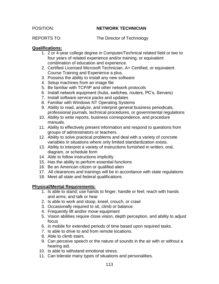## POSITION: **NETWORK TECHNICIAN**

REPORTS TO: The Director of Technology

## **Qualifications:**

- 1. 2 or 4-year college degree in Computer/Technical related field or two to four years of related experience and/or training, or equivalent combination of education and experience.
- 2. Certified Licensed Microsoft Technician, A+ Certified, or equivalent Course Training and Experience a plus.
- 3. Possess the ability to install any new software
- 4. Setup machines from an image file
- 5. Be familiar with TCP/IP and other network protocols
- 6. Install network equipment (hubs, switches, routers, PC's, Servers)
- 7. Install software service packs and updates
- 8. Familiar with Windows NT Operating Systems
- 9. Ability to read, analyze, and interpret general business periodicals, professional journals, technical procedures, or governmental regulations
- 10. Ability to write reports, business correspondence, and procedure manuals.
- 11. Ability to effectively present information and respond to questions from groups of administrators or teachers.
- 12. Ability to solve practical problems and deal with a variety of concrete variables in situations where only limited standardization exists.
- 13. Ability to interpret a variety of instructions furnished in written, oral, diagram, or schedule form
- 14. Able to follow instructions implicitly
- 15. Has the ability to perform essential functions
- 16. Be an American citizen or qualified alien
- 17. All clearances and trainings will be in accordance with state regulations
- 18. Meet all state and federal qualifications

#### **Physical/Mental Requirements:**

- 1. Is able to stand; use hands to finger, handle or feel; reach with hands and arms; and talk or hear
- 2. Is able to work and stoop, kneel, crouch, or crawl
- 3. Occasionally required to sit, climb or balance
- 4. Frequently lift and/or move equipment
- 5. Vision abilities require close vision, depth perception, and ability to adjust focus
- 6. Is mobile for extended periods of time based upon required tasks.
- 7. Is able to drive to and from remote locations.
- 8. Able to climb stairs.
- 9. Can perceive speech or the nature of sounds in the air with or without a hearing aid.
- 10. Is able to withstand emotional stress.
- 11. Can tolerate many types of situations and personalities.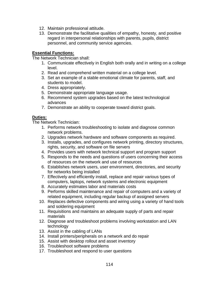- 12. Maintain professional attitude.
- 13. Demonstrate the facilitative qualities of empathy, honesty, and positive regard in interpersonal relationships with parents, pupils, district personnel, and community service agencies.

## **Essential Functions:**

The Network Technician shall:

- 1. Communicate effectively in English both orally and in writing on a college level.
- 2. Read and comprehend written material on a college level.
- 3. Set an example of a stable emotional climate for parents, staff, and students to model.
- 4. Dress appropriately.
- 5. Demonstrate appropriate language usage.
- 6. Recommend system upgrades based on the latest technological advances
- 7. Demonstrate an ability to cooperate toward district goals.

## **Duties:**

The Network Technician:

- 1. Performs network troubleshooting to isolate and diagnose common network problems.
- 2. Upgrades network hardware and software components as required.
- 3. Installs, upgrades, and configures network printing, directory structures, rights, security, and software on file servers
- 4. Provides users with network technical support and program support
- 5. Responds to the needs and questions of users concerning their access of resources on the network and use of resources
- 6. Establishes network users, user environment, directories, and security for networks being installed
- 7. Effectively and efficiently install, replace and repair various types of computers, laptops, network systems and electronic equipment
- 8. Accurately estimates labor and materials costs
- 9. Performs skilled maintenance and repair of computers and a variety of related equipment, including regular backup of assigned servers
- 10. Replaces defective components and wiring using a variety of hand tools and soldering equipment
- 11. Requisitions and maintains an adequate supply of parts and repair materials
- 12. Diagnose and troubleshoot problems involving workstation and LAN technology
- 13. Assist in the cabling of LANs
- 14. Install printers/peripherals on a network and do repair
- 15. Assist with desktop rollout and asset inventory
- 16. Troubleshoot software problems
- 17. Troubleshoot and respond to user questions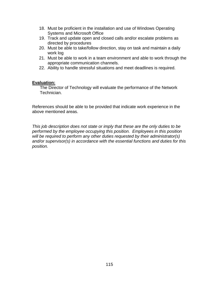- 18. Must be proficient in the installation and use of Windows Operating Systems and Microsoft Office
- 19. Track and update open and closed calls and/or escalate problems as directed by procedures
- 20. Must be able to take/follow direction, stay on task and maintain a daily work log
- 21. Must be able to work in a team environment and able to work through the appropriate communication channels.
- 22. Ability to handle stressful situations and meet deadlines is required.

The Director of Technology will evaluate the performance of the Network Technician.

References should be able to be provided that indicate work experience in the above mentioned areas.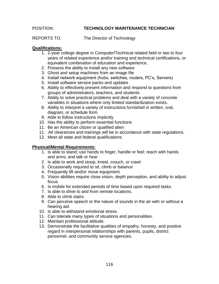## POSITION: **TECHNOLOGY MAINTENANCE TECHNICIAN**

REPORTS TO: The Director of Technology

## **Qualifications:**

- 1. 2-year college degree in Computer/Technical related field or two to four years of related experience and/or training and technical certifications, or equivalent combination of education and experience.
- 2. Possess the ability to install any new software
- 3. Ghost and setup machines from an image file
- 4. Install network equipment (hubs, switches, routers, PC's, Servers)
- 5. Install software service packs and updates
- 6. Ability to effectively present information and respond to questions from groups of administrators, teachers, and students
- 7. Ability to solve practical problems and deal with a variety of concrete variables in situations where only limited standardization exists.
- 8. Ability to interpret a variety of instructions furnished in written, oral, diagram, or schedule form
- 9. Able to follow instructions implicitly
- 10. Has the ability to perform essential functions
- 11. Be an American citizen or qualified alien
- 11. All clearances and trainings will be in accordance with state regulations.
- 12. Meet all state and federal qualifications

# **Physical/Mental Requirements:**

- 1. Is able to stand; use hands to finger, handle or feel; reach with hands and arms; and talk or hear
- 2. Is able to work and stoop, kneel, crouch, or crawl
- 3. Occasionally required to sit, climb or balance
- 4. Frequently lift and/or move equipment
- 5. Vision abilities require close vision, depth perception, and ability to adjust focus
- 6. Is mobile for extended periods of time based upon required tasks.
- 7. Is able to drive to and from remote locations.
- 8. Able to climb stairs.
- 9. Can perceive speech or the nature of sounds in the air with or without a hearing aid.
- 10. Is able to withstand emotional stress.
- 11. Can tolerate many types of situations and personalities.
- 12. Maintain professional attitude.
- 13. Demonstrate the facilitative qualities of empathy, honesty, and positive regard in interpersonal relationships with parents, pupils, district personnel, and community service agencies.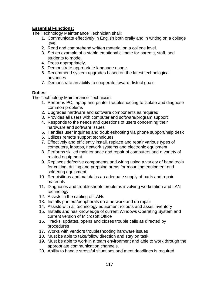# **Essential Functions:**

The Technology Maintenance Technician shall:

- 1. Communicate effectively in English both orally and in writing on a college level.
- 2. Read and comprehend written material on a college level.
- 3. Set an example of a stable emotional climate for parents, staff, and students to model.
- 4. Dress appropriately.
- 5. Demonstrate appropriate language usage.
- 6. Recommend system upgrades based on the latest technological advances
- 7. Demonstrate an ability to cooperate toward district goals.

# **Duties:**

The Technology Maintenance Technician:

- 1. Performs PC, laptop and printer troubleshooting to isolate and diagnose common problems
- 2. Upgrades hardware and software components as required
- 3. Provides all users with computer and software/program support
- 4. Responds to the needs and questions of users concerning their hardware and software issues
- 5. Handles user inquiries and troubleshooting via phone support/help desk
- 6. Utilizes remote support techniques
- 7. Effectively and efficiently install, replace and repair various types of computers, laptops, network systems and electronic equipment
- 8. Performs skilled maintenance and repair of computers and a variety of related equipment
- 9. Replaces defective components and wiring using a variety of hand tools for cutting, drilling and prepping areas for mounting equipment and soldering equipment
- 10. Requisitions and maintains an adequate supply of parts and repair materials
- 11. Diagnoses and troubleshoots problems involving workstation and LAN technology
- 12. Assists in the cabling of LANs
- 13. Installs printers/peripherals on a network and do repair
- 14. Assists with all technology equipment rollouts and asset inventory
- 15. Installs and has knowledge of current Windows Operating System and current version of Microsoft Office
- 16. Tracks, updates, opens and closes trouble calls as directed by procedures
- 17. Works with vendors troubleshooting hardware issues
- 18. Must be able to take/follow direction and stay on task
- 19. Must be able to work in a team environment and able to work through the appropriate communication channels.
- 20. Ability to handle stressful situations and meet deadlines is required.